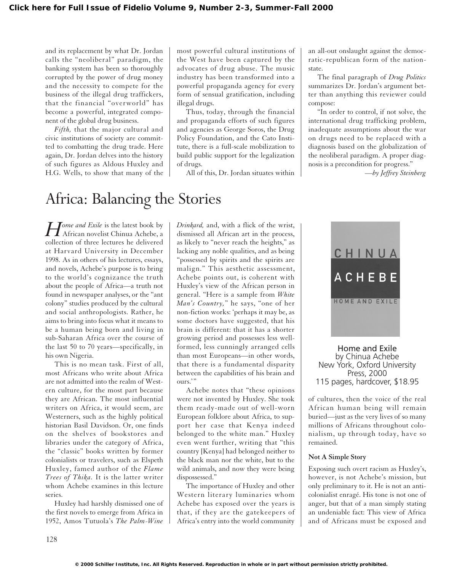and its replacement by what Dr. Jordan calls the "neoliberal" paradigm, the banking system has been so thoroughly corrupted by the power of drug money and the necessity to compete for the business of the illegal drug traffickers, that the financial "overworld" has become a powerful, integrated component of the global drug business.

*Fifth,* that the major cultural and civic institutions of society are committed to combatting the drug trade. Here again, Dr. Jordan delves into the history of such figures as Aldous Huxley and H.G. Wells, to show that many of the most powerful cultural institutions of the West have been captured by the advocates of drug abuse. The music industry has been transformed into a powerful propaganda agency for every form of sensual gratification, including illegal drugs.

Thus, today, through the financial and propaganda efforts of such figures and agencies as George Soros, the Drug Policy Foundation, and the Cato Institute, there is a full-scale mobilization to build public support for the legalization of drugs.

All of this, Dr. Jordan situates within

an all-out onslaught against the democratic-republican form of the nationstate.

The final paragraph of *Drug Politics* summarizes Dr. Jordan's argument better than anything this reviewer could compose:

"In order to control, if not solve, the international drug trafficking problem, inadequate assumptions about the war on drugs need to be replaced with a diagnosis based on the globalization of the neoliberal paradigm. A proper diagnosis is a precondition for progress."

*—by Jeffrey Steinberg*

## Africa: Balancing the Stories

*Home and Exile* is the latest book by<br>African novelist Chinua Achebe, a collection of three lectures he delivered at Harvard University in December 1998. As in others of his lectures, essays, and novels, Achebe's purpose is to bring to the world's cognizance the truth about the people of Africa—a truth not found in newspaper analyses, or the "ant colony" studies produced by the cultural and social anthropologists. Rather, he aims to bring into focus what it means to be a human being born and living in sub-Saharan Africa over the course of the last 50 to 70 years—specifically, in his own Nigeria.

This is no mean task. First of all, most Africans who write about Africa are not admitted into the realm of Western culture, for the most part because they are African. The most influential writers on Africa, it would seem, are Westerners, such as the highly political historian Basil Davidson. Or, one finds on the shelves of bookstores and libraries under the category of Africa, the "classic" books written by former colonialists or travelers, such as Elspeth Huxley, famed author of the *Flame Trees of Thika.* It is the latter writer whom Achebe examines in this lecture series.

Huxley had harshly dismissed one of the first novels to emerge from Africa in 1952, Amos Tutuola's *The Palm-Wine*

*Drinkard,* and, with a flick of the wrist, dismissed all African art in the process, as likely to "never reach the heights," as lacking any noble qualities, and as being "possessed by spirits and the spirits are malign." This aesthetic assessment, Achebe points out, is coherent with Huxley's view of the African person in general. "Here is a sample from *White Man's Country,*" he says, "one of her non-fiction works: 'perhaps it may be, as some doctors have suggested, that his brain is different: that it has a shorter growing period and possesses less wellformed, less cunningly arranged cells than most Europeans—in other words, that there is a fundamental disparity between the capabilities of his brain and ours."

Achebe notes that "these opinions were not invented by Huxley. She took them ready-made out of well-worn European folklore about Africa, to support her case that Kenya indeed belonged to the white man." Huxley even went further, writing that "this country [Kenya] had belonged neither to the black man nor the white, but to the wild animals, and now they were being dispossessed."

The importance of Huxley and other Western literary luminaries whom Achebe has exposed over the years is that, if they are the gatekeepers of Africa's entry into the world community



Home and Exile by Chinua Achebe New York, Oxford University Press, 2000 115 pages, hardcover, \$18.95

of cultures, then the voice of the real African human being will remain buried—just as the very lives of so many millions of Africans throughout colonialism, up through today, have so remained.

## **Not A Simple Story**

Exposing such overt racism as Huxley's, however, is not Achebe's mission, but only preliminary to it. He is not an anticolonialist enragé. His tone is not one of anger, but that of a man simply stating an undeniable fact: This view of Africa and of Africans must be exposed and